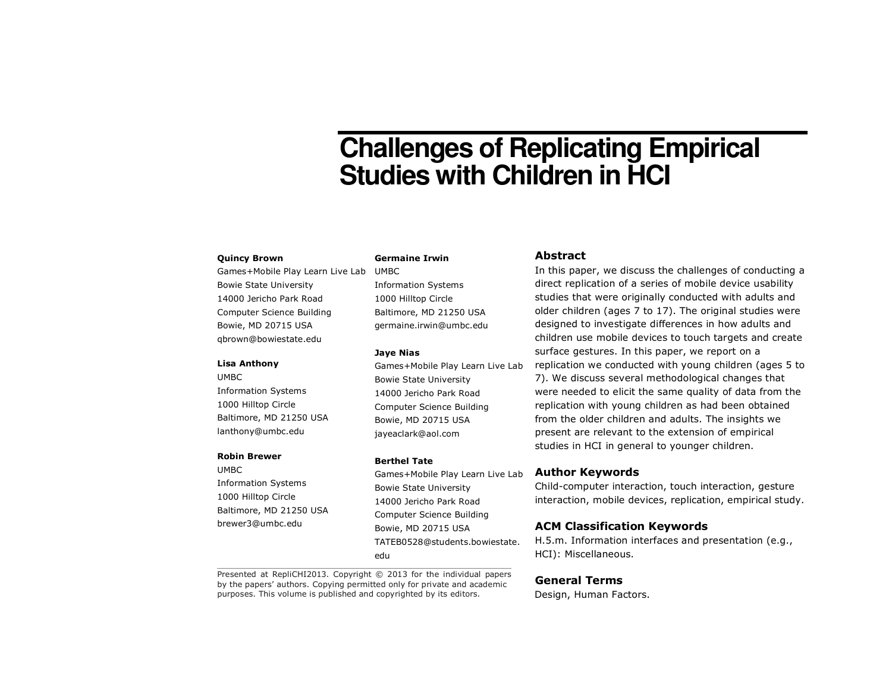# **Challenges of Replicating Empirical Studies with Children in HCI**

#### **Quincy Brown**

Games+Mobile Play Learn Live Lab UMBC Bowie State University 14000 Jericho Park Road Computer Science Building Bowie, MD 20715 USA qbrown@bowiestate.edu

#### **Lisa Anthony**

UMBC Information Systems 1000 Hilltop Circle Baltimore, MD 21250 USA lanthony@umbc.edu

# **Robin Brewer**

UMBC Information Systems 1000 Hilltop Circle Baltimore, MD 21250 USA brewer3@umbc.edu

# **Germaine Irwin**

Information Systems 1000 Hilltop Circle Baltimore, MD 21250 USA germaine.irwin@umbc.edu

#### **Jaye Nias**

Games+Mobile Play Learn Live Lab Bowie State University 14000 Jericho Park Road Computer Science Building Bowie, MD 20715 USA jayeaclark@aol.com

#### **Berthel Tate**

Games+Mobile Play Learn Live Lab Bowie State University 14000 Jericho Park Road Computer Science Building Bowie, MD 20715 USA TATEB0528@students.bowiestate.edu

Presented at RepliCHI2013. Copyright © 2013 for the individual papers by the papers' authors. Copying permitted only for private and academic purposes. This volume is published and copyrighted by its editors.

# **Abstract**

In this paper, we discuss the challenges of conducting a direct replication of a series of mobile device usability studies that were originally conducted with adults and older children (ages 7 to 17). The original studies were designed to investigate differences in how adults and children use mobile devices to touch targets and create surface gestures. In this paper, we report on a replication we conducted with young children (ages 5 to 7). We discuss several methodological changes that were needed to elicit the same quality of data from the replication with young children as had been obtained from the older children and adults. The insights we present are relevant to the extension of empirical studies in HCI in general to younger children.

# **Author Keywords**

Child-computer interaction, touch interaction, gesture interaction, mobile devices, replication, empirical study.

#### **ACM Classification Keywords**

H.5.m. Information interfaces and presentation (e.g., HCI): Miscellaneous.

## **General Terms**

Design, Human Factors.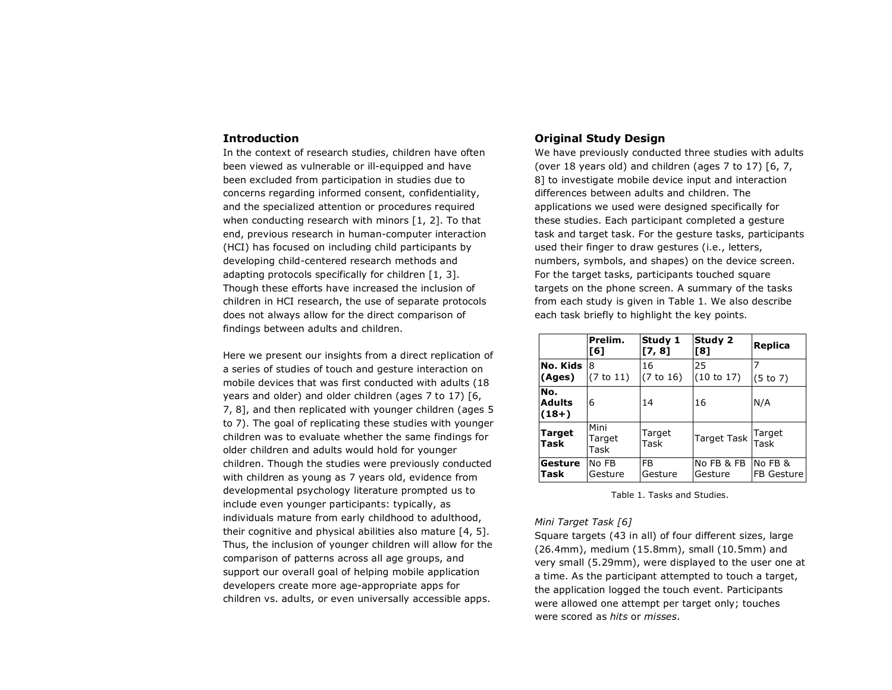## **Introduction**

In the context of research studies, children have often been viewed as vulnerable or ill-equipped and have been excluded from participation in studies due to concerns regarding informed consent, confidentiality, and the specialized attention or procedures required when conducting research with minors [1, 2]. To that end, previous research in human-computer interaction (HCI) has focused on including child participants by developing child-centered research methods and adapting protocols specifically for children [1, 3]. Though these efforts have increased the inclusion of children in HCI research, the use of separate protocols does not always allow for the direct comparison of findings between adults and children.

Here we present our insights from a direct replication of a series of studies of touch and gesture interaction on mobile devices that was first conducted with adults (18 years and older) and older children (ages 7 to 17) [6, 7, 8], and then replicated with younger children (ages 5 to 7). The goal of replicating these studies with younger children was to evaluate whether the same findings for older children and adults would hold for younger children. Though the studies were previously conducted with children as young as 7 years old, evidence from developmental psychology literature prompted us to include even younger participants: typically, as individuals mature from early childhood to adulthood, their cognitive and physical abilities also mature [4, 5]. Thus, the inclusion of younger children will allow for the comparison of patterns across all age groups, and support our overall goal of helping mobile application developers create more age-appropriate apps for children vs. adults, or even universally accessible apps.

# **Original Study Design**

 We have previously conducted three studies with adults (over 18 years old) and children (ages 7 to 17) [6, 7, 8] to investigate mobile device input and interaction differences between adults and children. The applications we used were designed specifically for these studies. Each participant completed a gesture task and target task. For the gesture tasks, participants used their finger to draw gestures (i.e., letters, numbers, symbols, and shapes) on the device screen.For the target tasks, participants touched square targets on the phone screen. A summary of the tasks from each study is given in Table 1. We also describe each task briefly to highlight the key points.

|                                 | Prelim.<br>[6]         | Study 1<br>[7, 8]         | Study 2<br>[8]        | Replica               |
|---------------------------------|------------------------|---------------------------|-----------------------|-----------------------|
| No. Kids<br>(Ages)              | 8<br>(7 to 11)         | 16<br>(7 to 16)           | 25<br>(10 to 17)      | (5 to 7)              |
| No.<br><b>Adults</b><br>$(18+)$ | 6                      | 14                        | 16                    | N/A                   |
| <b>Target</b><br>Task           | Mini<br>Target<br>Task | Target<br>Task            | Target Task Target    | Task                  |
| Gesture<br>Task                 | No FB<br>Gesture       | F <sub>B</sub><br>Gesture | No FB & FB<br>Gesture | No FB &<br>FB Gesture |

Table 1. Tasks and Studies.

#### *Mini Target Task [6]*

Square targets (43 in all) of four different sizes, large (26.4mm), medium (15.8mm), small (10.5mm) and very small (5.29mm), were displayed to the user one at a time. As the participant attempted to touch a target, the application logged the touch event. Participants were allowed one attempt per target only; touches were scored as *hits* or *misses*.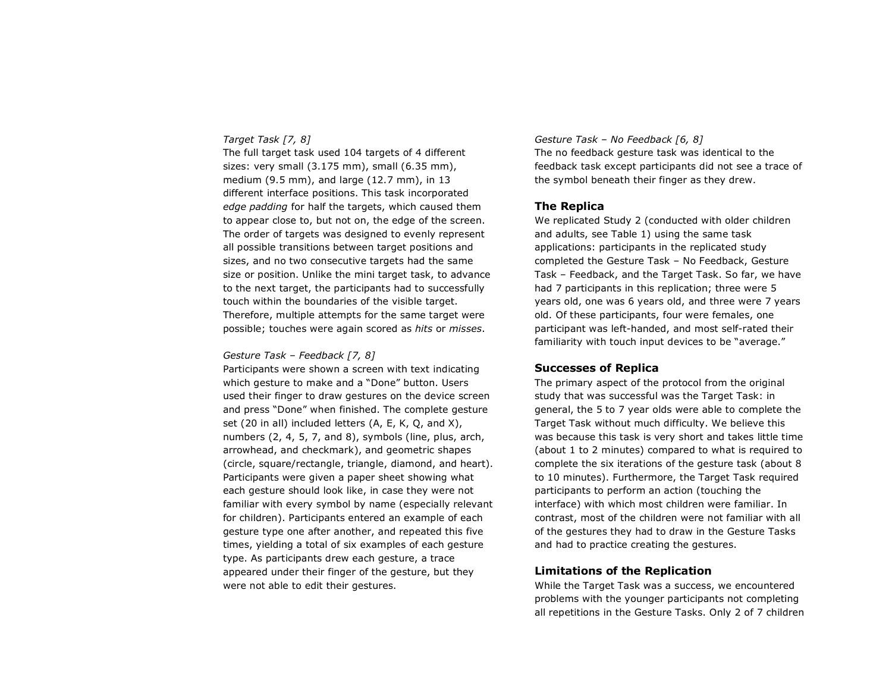# *Target Task [7, 8]*

 The full target task used 104 targets of 4 different sizes: very small (3.175 mm), small (6.35 mm), medium (9.5 mm), and large (12.7 mm), in 13 different interface positions. This task incorporated *edge padding* for half the targets, which caused them to appear close to, but not on, the edge of the screen. The order of targets was designed to evenly represent all possible transitions between target positions and sizes, and no two consecutive targets had the same size or position. Unlike the mini target task, to advance to the next target, the participants had to successfully touch within the boundaries of the visible target. Therefore, multiple attempts for the same target were possible; touches were again scored as *hits* or *misses*.

#### *Gesture Task – Feedback [7, 8]*

 Participants were shown a screen with text indicating which gesture to make and a "Done" button. Users used their finger to draw gestures on the device screen and press "Done" when finished. The complete gesture set (20 in all) included letters (A, E, K, Q, and X), numbers (2, 4, 5, 7, and 8), symbols (line, plus, arch, arrowhead, and checkmark), and geometric shapes (circle, square/rectangle, triangle, diamond, and heart). Participants were given a paper sheet showing what each gesture should look like, in case they were not familiar with every symbol by name (especially relevant for children). Participants entered an example of each gesture type one after another, and repeated this five times, yielding a total of six examples of each gesture type. As participants drew each gesture, a trace appeared under their finger of the gesture, but they were not able to edit their gestures.

## *Gesture Task – No Feedback [6, 8]*

The no feedback gesture task was identical to the feedback task except participants did not see a trace of the symbol beneath their finger as they drew.

#### **The Replica**

 We replicated Study 2 (conducted with older children and adults, see Table 1) using the same task applications: participants in the replicated study completed the Gesture Task – No Feedback, Gesture Task – Feedback, and the Target Task. So far, we have had 7 participants in this replication; three were 5 years old, one was 6 years old, and three were 7 years old. Of these participants, four were females, one participant was left-handed, and most self-rated their familiarity with touch input devices to be "average."

# **Successes of Replica**

The primary aspect of the protocol from the original study that was successful was the Target Task: in general, the 5 to 7 year olds were able to complete the Target Task without much difficulty. We believe this was because this task is very short and takes little time (about 1 to 2 minutes) compared to what is required to complete the six iterations of the gesture task (about 8 to 10 minutes). Furthermore, the Target Task required participants to perform an action (touching the interface) with which most children were familiar. In contrast, most of the children were not familiar with all of the gestures they had to draw in the Gesture Tasks and had to practice creating the gestures.

# **Limitations of the Replication**

While the Target Task was a success, we encountered problems with the younger participants not completing all repetitions in the Gesture Tasks. Only 2 of 7 children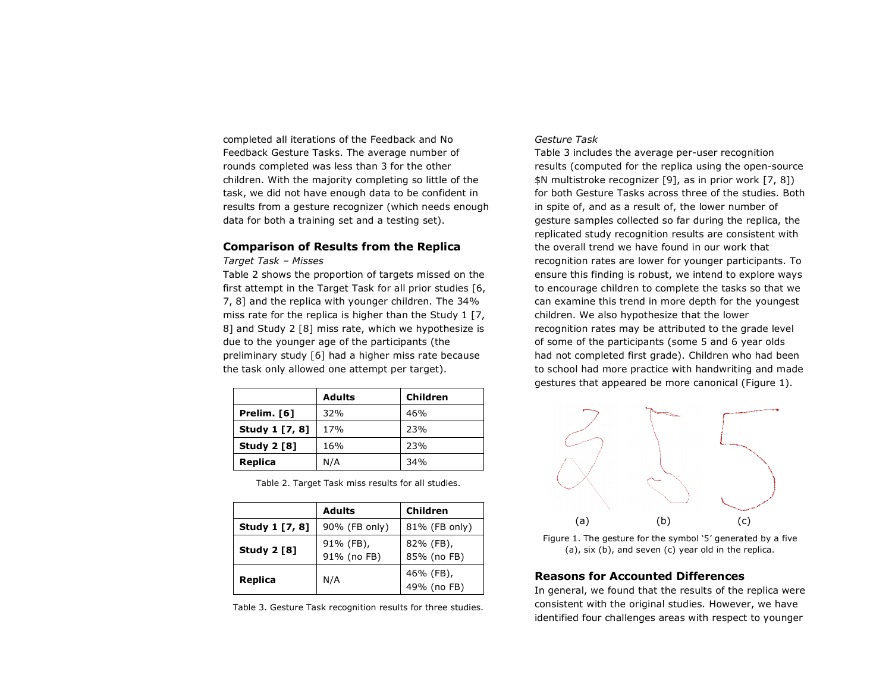completed all iterations of the Feedback and No Feedback Gesture Tasks. The average number of rounds completed was less than 3 for the other children. With the majority completing so little of the task, we did not have enough data to be confident in results from a gesture recognizer (which needs enough data for both a training set and a testing set).

# **Comparison of Results from the Replica**

#### *Target Task – Misses*

 Table 2 shows the proportion of targets missed on the first attempt in the Target Task for all prior studies [6, 7, 8] and the replica with younger children. The 34% miss rate for the replica is higher than the Study 1 [7, 8] and Study 2 [8] miss rate, which we hypothesize is due to the younger age of the participants (the preliminary study [6] had a higher miss rate because the task only allowed one attempt per target).

|                    | <b>Adults</b> | Children |
|--------------------|---------------|----------|
| Prelim. [6]        | 32%           | 46%      |
| Study 1 [7, 8]     | 17%           | 23%      |
| <b>Study 2 [8]</b> | 16%           | 23%      |
| <b>Replica</b>     | N/A           | 34%      |

Table 2. Target Task miss results for all studies.

|                    | <b>Adults</b>            | Children                 |
|--------------------|--------------------------|--------------------------|
| Study 1 [7, 8]     | 90% (FB only)            | 81% (FB only)            |
| <b>Study 2 [8]</b> | 91% (FB),<br>91% (no FB) | 82% (FB),<br>85% (no FB) |
| Replica            | N/A                      | 46% (FB),<br>49% (no FB) |

#### Table 3. Gesture Task recognition results for three studies.

## *Gesture Task*

Table 3 includes the average per-user recognition results (computed for the replica using the open-source \$N multistroke recognizer [9], as in prior work [7, 8]) for both Gesture Tasks across three of the studies. Both in spite of, and as a result of, the lower number of gesture samples collected so far during the replica, the replicated study recognition results are consistent with the overall trend we have found in our work that recognition rates are lower for younger participants. To ensure this finding is robust, we intend to explore ways to encourage children to complete the tasks so that we can examine this trend in more depth for the youngest children. We also hypothesize that the lower recognition rates may be attributed to the grade level of some of the participants (some 5 and 6 year olds had not completed first grade). Children who had been to school had more practice with handwriting and made gestures that appeared be more canonical (Figure 1).



Figure 1. The gesture for the symbol '5' generated by a five (a), six (b), and seven (c) year old in the replica.

# **Reasons for Accounted Differences**

In general, we found that the results of the replica were consistent with the original studies. However, we have identified four challenges areas with respect to younger